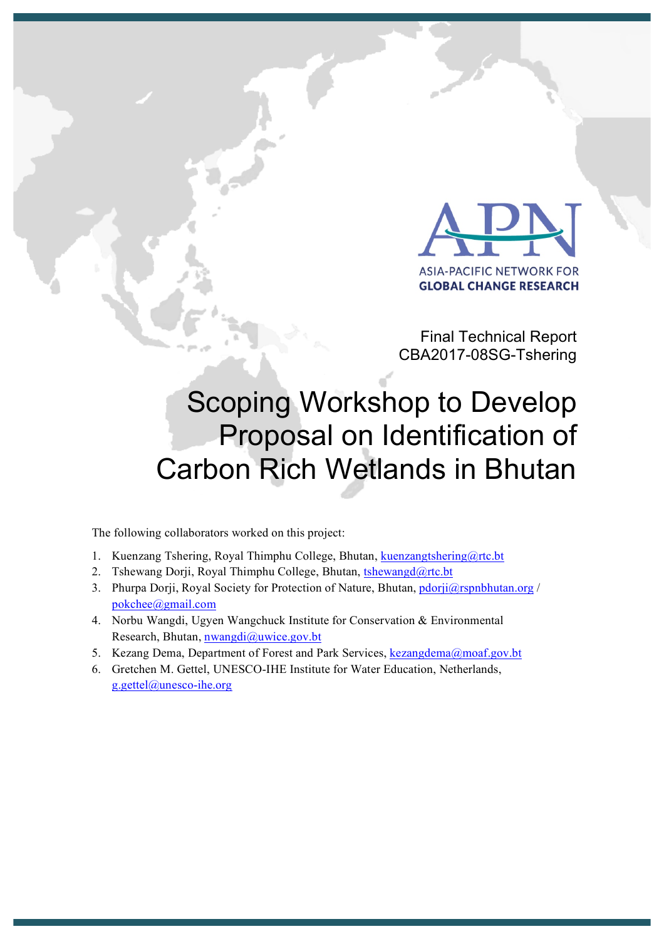

Final Technical Report CBA2017-08SG-Tshering

# Scoping Workshop to Develop Proposal on Identification of Carbon Rich Wetlands in Bhutan

The following collaborators worked on this project:

- 1. Kuenzang Tshering, Royal Thimphu College, Bhutan, kuenzangtshering@rtc.bt
- 2. Tshewang Dorji, Royal Thimphu College, Bhutan, tshewangd@rtc.bt
- 3. Phurpa Dorji, Royal Society for Protection of Nature, Bhutan, pdorji@rspnbhutan.org / pokchee@gmail.com
- 4. Norbu Wangdi, Ugyen Wangchuck Institute for Conservation & Environmental Research, Bhutan, nwangdi@uwice.gov.bt
- 5. Kezang Dema, Department of Forest and Park Services, kezangdema@moaf.gov.bt
- 6. Gretchen M. Gettel, UNESCO-IHE Institute for Water Education, Netherlands, g.gettel@unesco-ihe.org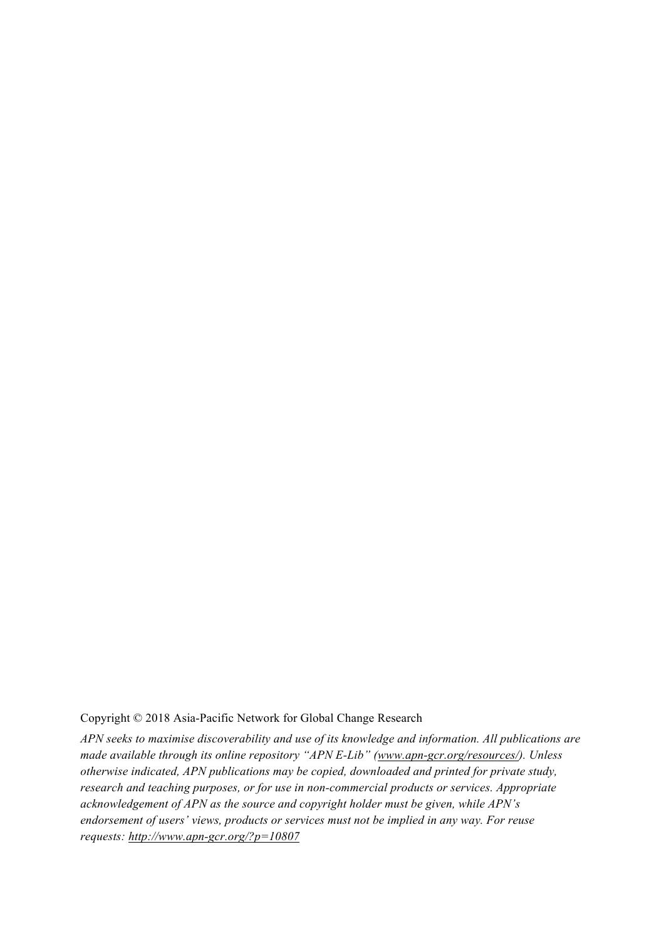#### Copyright © 2018 Asia-Pacific Network for Global Change Research

*APN seeks to maximise discoverability and use of its knowledge and information. All publications are made available through its online repository "APN E-Lib" (www.apn-gcr.org/resources/). Unless otherwise indicated, APN publications may be copied, downloaded and printed for private study, research and teaching purposes, or for use in non-commercial products or services. Appropriate acknowledgement of APN as the source and copyright holder must be given, while APN's endorsement of users' views, products or services must not be implied in any way. For reuse requests: http://www.apn-gcr.org/?p=10807*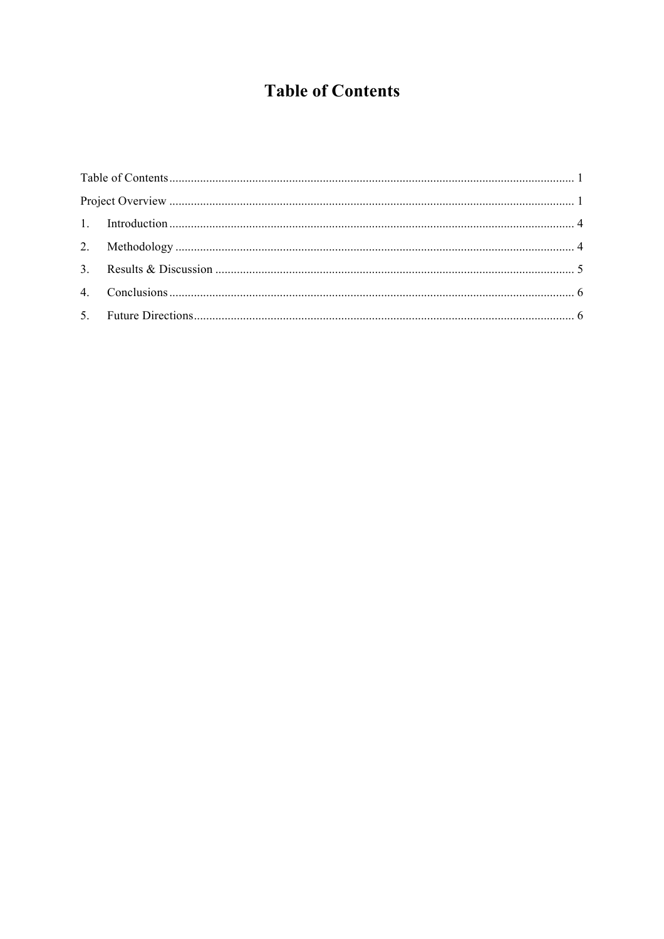## **Table of Contents**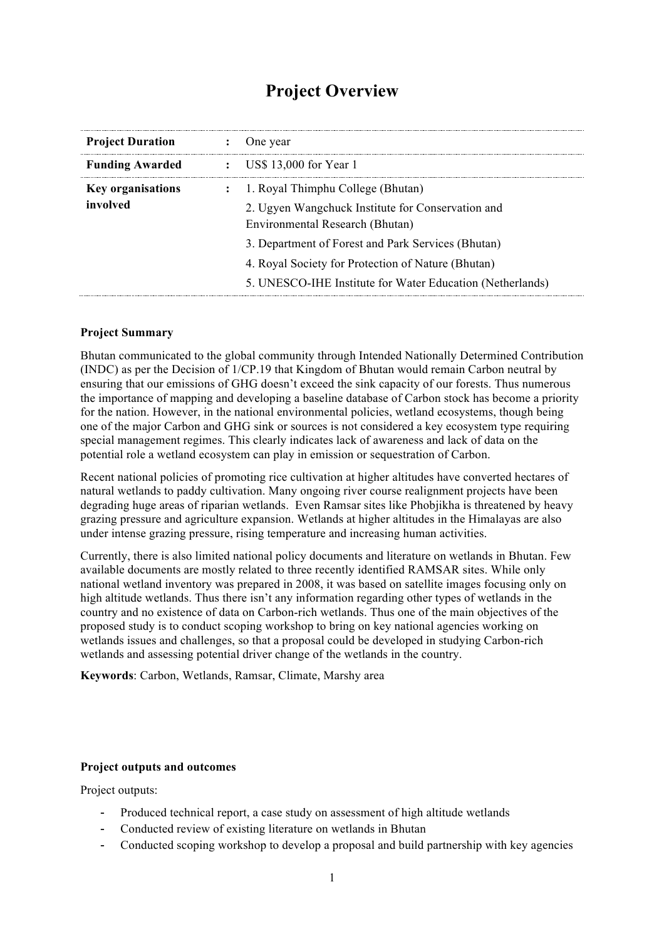## **Project Overview**

| <b>Project Duration</b>  |              | One year                                                                             |
|--------------------------|--------------|--------------------------------------------------------------------------------------|
| <b>Funding Awarded</b>   |              | $\therefore$ US\$ 13,000 for Year 1                                                  |
| <b>Key organisations</b> | $\mathbf{L}$ | 1. Royal Thimphu College (Bhutan)                                                    |
| involved                 |              | 2. Ugyen Wangchuck Institute for Conservation and<br>Environmental Research (Bhutan) |
|                          |              | 3. Department of Forest and Park Services (Bhutan)                                   |
|                          |              | 4. Royal Society for Protection of Nature (Bhutan)                                   |
|                          |              | 5. UNESCO-IHE Institute for Water Education (Netherlands)                            |
|                          |              |                                                                                      |

#### **Project Summary**

Bhutan communicated to the global community through Intended Nationally Determined Contribution (INDC) as per the Decision of 1/CP.19 that Kingdom of Bhutan would remain Carbon neutral by ensuring that our emissions of GHG doesn't exceed the sink capacity of our forests. Thus numerous the importance of mapping and developing a baseline database of Carbon stock has become a priority for the nation. However, in the national environmental policies, wetland ecosystems, though being one of the major Carbon and GHG sink or sources is not considered a key ecosystem type requiring special management regimes. This clearly indicates lack of awareness and lack of data on the potential role a wetland ecosystem can play in emission or sequestration of Carbon.

Recent national policies of promoting rice cultivation at higher altitudes have converted hectares of natural wetlands to paddy cultivation. Many ongoing river course realignment projects have been degrading huge areas of riparian wetlands. Even Ramsar sites like Phobjikha is threatened by heavy grazing pressure and agriculture expansion. Wetlands at higher altitudes in the Himalayas are also under intense grazing pressure, rising temperature and increasing human activities.

Currently, there is also limited national policy documents and literature on wetlands in Bhutan. Few available documents are mostly related to three recently identified RAMSAR sites. While only national wetland inventory was prepared in 2008, it was based on satellite images focusing only on high altitude wetlands. Thus there isn't any information regarding other types of wetlands in the country and no existence of data on Carbon-rich wetlands. Thus one of the main objectives of the proposed study is to conduct scoping workshop to bring on key national agencies working on wetlands issues and challenges, so that a proposal could be developed in studying Carbon-rich wetlands and assessing potential driver change of the wetlands in the country.

**Keywords**: Carbon, Wetlands, Ramsar, Climate, Marshy area

#### **Project outputs and outcomes**

Project outputs:

- Produced technical report, a case study on assessment of high altitude wetlands
- Conducted review of existing literature on wetlands in Bhutan
- Conducted scoping workshop to develop a proposal and build partnership with key agencies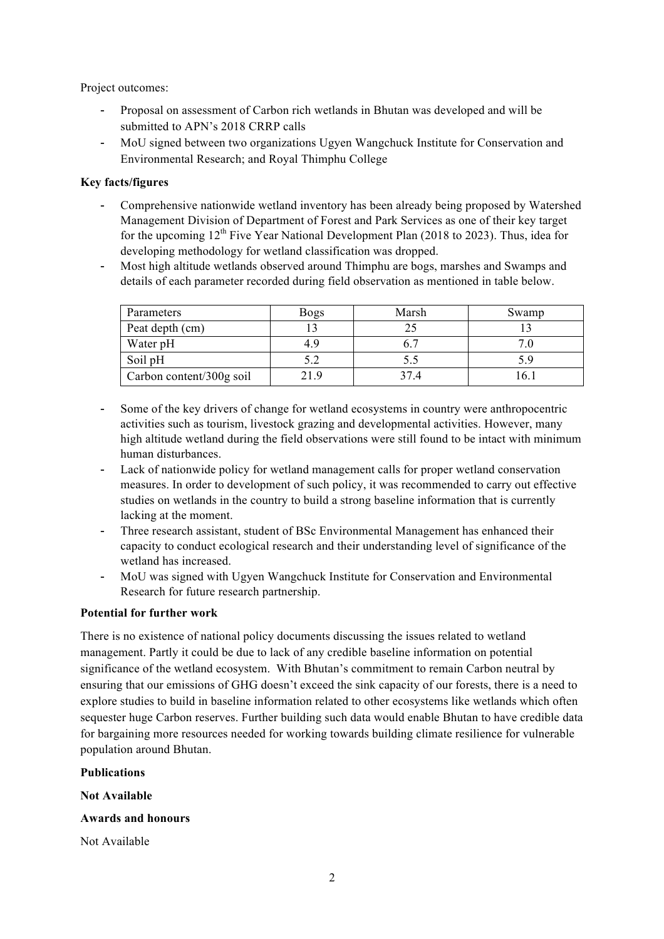Project outcomes:

- Proposal on assessment of Carbon rich wetlands in Bhutan was developed and will be submitted to APN's 2018 CRRP calls
- MoU signed between two organizations Ugyen Wangchuck Institute for Conservation and Environmental Research; and Royal Thimphu College

#### **Key facts/figures**

- Comprehensive nationwide wetland inventory has been already being proposed by Watershed Management Division of Department of Forest and Park Services as one of their key target for the upcoming  $12^{th}$  Five Year National Development Plan (2018 to 2023). Thus, idea for developing methodology for wetland classification was dropped.
- Most high altitude wetlands observed around Thimphu are bogs, marshes and Swamps and details of each parameter recorded during field observation as mentioned in table below.

| Parameters               | <b>Bogs</b> | Marsh | Swamp |
|--------------------------|-------------|-------|-------|
| Peat depth (cm)          |             |       |       |
| Water pH                 | 4.9         |       |       |
| Soil pH                  | 5.2         | 5.5   |       |
| Carbon content/300g soil | 219         | 374   | 16.   |

- Some of the key drivers of change for wetland ecosystems in country were anthropocentric activities such as tourism, livestock grazing and developmental activities. However, many high altitude wetland during the field observations were still found to be intact with minimum human disturbances.
- Lack of nationwide policy for wetland management calls for proper wetland conservation measures. In order to development of such policy, it was recommended to carry out effective studies on wetlands in the country to build a strong baseline information that is currently lacking at the moment.
- Three research assistant, student of BSc Environmental Management has enhanced their capacity to conduct ecological research and their understanding level of significance of the wetland has increased.
- MoU was signed with Ugyen Wangchuck Institute for Conservation and Environmental Research for future research partnership.

#### **Potential for further work**

There is no existence of national policy documents discussing the issues related to wetland management. Partly it could be due to lack of any credible baseline information on potential significance of the wetland ecosystem. With Bhutan's commitment to remain Carbon neutral by ensuring that our emissions of GHG doesn't exceed the sink capacity of our forests, there is a need to explore studies to build in baseline information related to other ecosystems like wetlands which often sequester huge Carbon reserves. Further building such data would enable Bhutan to have credible data for bargaining more resources needed for working towards building climate resilience for vulnerable population around Bhutan.

#### **Publications**

**Not Available** 

#### **Awards and honours**

Not Available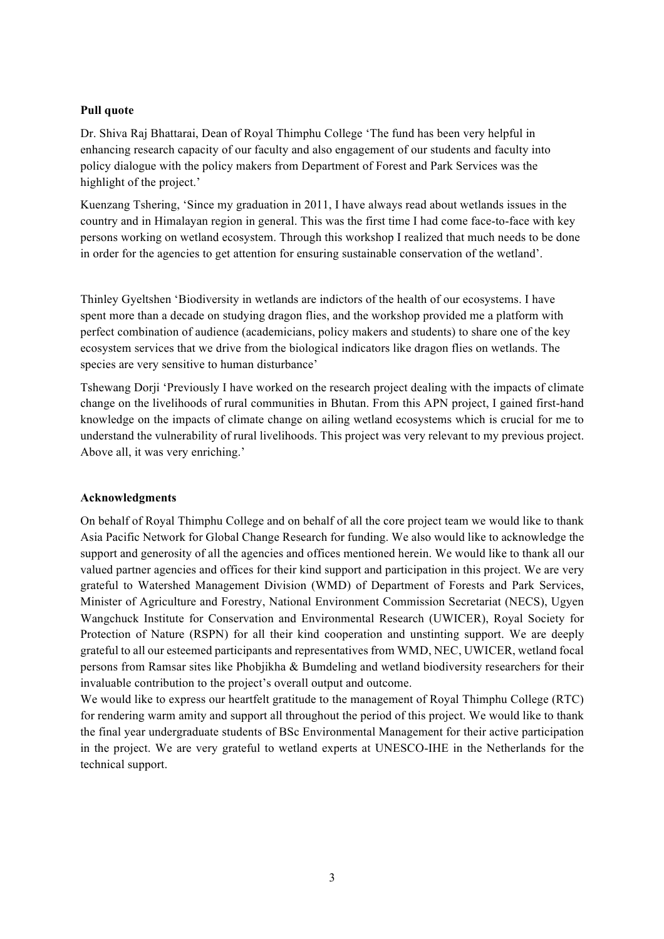#### **Pull quote**

Dr. Shiva Raj Bhattarai, Dean of Royal Thimphu College 'The fund has been very helpful in enhancing research capacity of our faculty and also engagement of our students and faculty into policy dialogue with the policy makers from Department of Forest and Park Services was the highlight of the project.'

Kuenzang Tshering, 'Since my graduation in 2011, I have always read about wetlands issues in the country and in Himalayan region in general. This was the first time I had come face-to-face with key persons working on wetland ecosystem. Through this workshop I realized that much needs to be done in order for the agencies to get attention for ensuring sustainable conservation of the wetland'.

Thinley Gyeltshen 'Biodiversity in wetlands are indictors of the health of our ecosystems. I have spent more than a decade on studying dragon flies, and the workshop provided me a platform with perfect combination of audience (academicians, policy makers and students) to share one of the key ecosystem services that we drive from the biological indicators like dragon flies on wetlands. The species are very sensitive to human disturbance'

Tshewang Dorji 'Previously I have worked on the research project dealing with the impacts of climate change on the livelihoods of rural communities in Bhutan. From this APN project, I gained first-hand knowledge on the impacts of climate change on ailing wetland ecosystems which is crucial for me to understand the vulnerability of rural livelihoods. This project was very relevant to my previous project. Above all, it was very enriching.'

#### **Acknowledgments**

On behalf of Royal Thimphu College and on behalf of all the core project team we would like to thank Asia Pacific Network for Global Change Research for funding. We also would like to acknowledge the support and generosity of all the agencies and offices mentioned herein. We would like to thank all our valued partner agencies and offices for their kind support and participation in this project. We are very grateful to Watershed Management Division (WMD) of Department of Forests and Park Services, Minister of Agriculture and Forestry, National Environment Commission Secretariat (NECS), Ugyen Wangchuck Institute for Conservation and Environmental Research (UWICER), Royal Society for Protection of Nature (RSPN) for all their kind cooperation and unstinting support. We are deeply grateful to all our esteemed participants and representatives from WMD, NEC, UWICER, wetland focal persons from Ramsar sites like Phobjikha & Bumdeling and wetland biodiversity researchers for their invaluable contribution to the project's overall output and outcome.

We would like to express our heartfelt gratitude to the management of Royal Thimphu College (RTC) for rendering warm amity and support all throughout the period of this project. We would like to thank the final year undergraduate students of BSc Environmental Management for their active participation in the project. We are very grateful to wetland experts at UNESCO-IHE in the Netherlands for the technical support.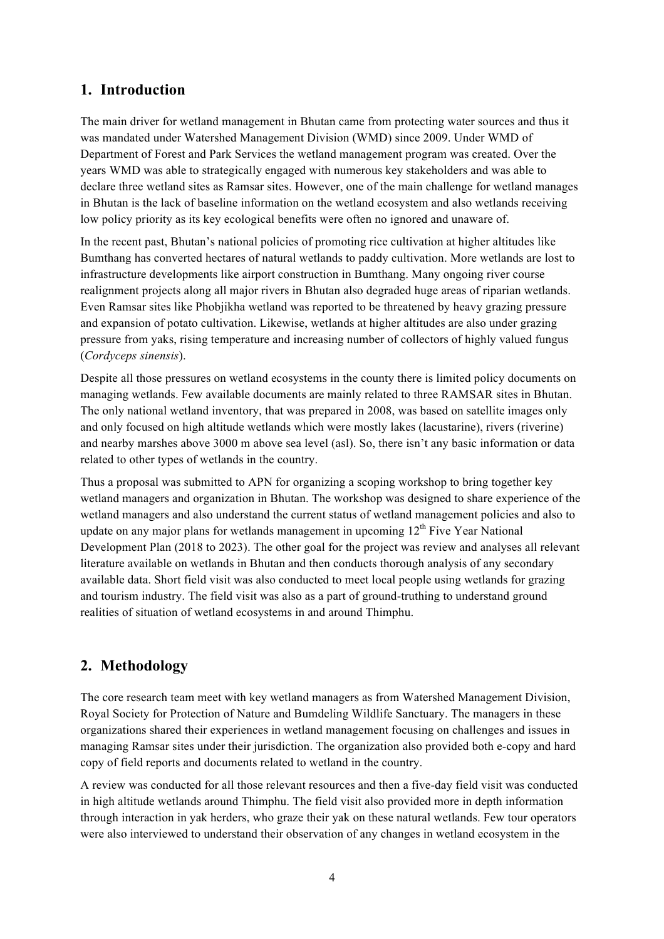## **1. Introduction**

The main driver for wetland management in Bhutan came from protecting water sources and thus it was mandated under Watershed Management Division (WMD) since 2009. Under WMD of Department of Forest and Park Services the wetland management program was created. Over the years WMD was able to strategically engaged with numerous key stakeholders and was able to declare three wetland sites as Ramsar sites. However, one of the main challenge for wetland manages in Bhutan is the lack of baseline information on the wetland ecosystem and also wetlands receiving low policy priority as its key ecological benefits were often no ignored and unaware of.

In the recent past, Bhutan's national policies of promoting rice cultivation at higher altitudes like Bumthang has converted hectares of natural wetlands to paddy cultivation. More wetlands are lost to infrastructure developments like airport construction in Bumthang. Many ongoing river course realignment projects along all major rivers in Bhutan also degraded huge areas of riparian wetlands. Even Ramsar sites like Phobjikha wetland was reported to be threatened by heavy grazing pressure and expansion of potato cultivation. Likewise, wetlands at higher altitudes are also under grazing pressure from yaks, rising temperature and increasing number of collectors of highly valued fungus (*Cordyceps sinensis*).

Despite all those pressures on wetland ecosystems in the county there is limited policy documents on managing wetlands. Few available documents are mainly related to three RAMSAR sites in Bhutan. The only national wetland inventory, that was prepared in 2008, was based on satellite images only and only focused on high altitude wetlands which were mostly lakes (lacustarine), rivers (riverine) and nearby marshes above 3000 m above sea level (asl). So, there isn't any basic information or data related to other types of wetlands in the country.

Thus a proposal was submitted to APN for organizing a scoping workshop to bring together key wetland managers and organization in Bhutan. The workshop was designed to share experience of the wetland managers and also understand the current status of wetland management policies and also to update on any major plans for wetlands management in upcoming  $12<sup>th</sup>$  Five Year National Development Plan (2018 to 2023). The other goal for the project was review and analyses all relevant literature available on wetlands in Bhutan and then conducts thorough analysis of any secondary available data. Short field visit was also conducted to meet local people using wetlands for grazing and tourism industry. The field visit was also as a part of ground-truthing to understand ground realities of situation of wetland ecosystems in and around Thimphu.

## **2. Methodology**

The core research team meet with key wetland managers as from Watershed Management Division, Royal Society for Protection of Nature and Bumdeling Wildlife Sanctuary. The managers in these organizations shared their experiences in wetland management focusing on challenges and issues in managing Ramsar sites under their jurisdiction. The organization also provided both e-copy and hard copy of field reports and documents related to wetland in the country.

A review was conducted for all those relevant resources and then a five-day field visit was conducted in high altitude wetlands around Thimphu. The field visit also provided more in depth information through interaction in yak herders, who graze their yak on these natural wetlands. Few tour operators were also interviewed to understand their observation of any changes in wetland ecosystem in the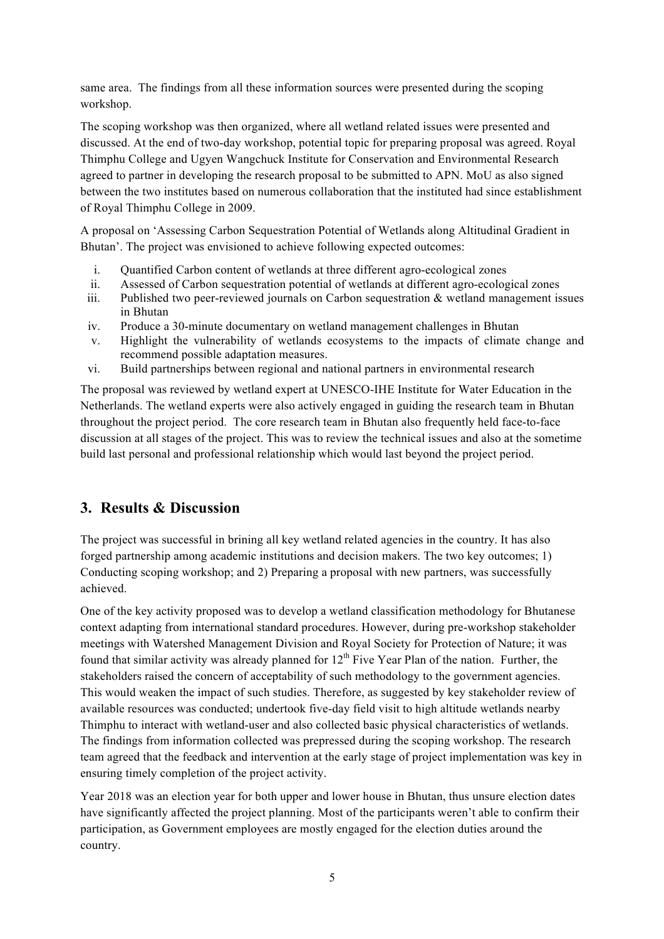same area. The findings from all these information sources were presented during the scoping workshop.

The scoping workshop was then organized, where all wetland related issues were presented and discussed. At the end of two-day workshop, potential topic for preparing proposal was agreed. Royal Thimphu College and Ugyen Wangchuck Institute for Conservation and Environmental Research agreed to partner in developing the research proposal to be submitted to APN. MoU as also signed between the two institutes based on numerous collaboration that the instituted had since establishment of Royal Thimphu College in 2009.

A proposal on 'Assessing Carbon Sequestration Potential of Wetlands along Altitudinal Gradient in Bhutan'. The project was envisioned to achieve following expected outcomes:

- i. Quantified Carbon content of wetlands at three different agro-ecological zones
- ii. Assessed of Carbon sequestration potential of wetlands at different agro-ecological zones
- iii. Published two peer-reviewed journals on Carbon sequestration  $\&$  wetland management issues in Bhutan
- iv. Produce a 30-minute documentary on wetland management challenges in Bhutan
- v. Highlight the vulnerability of wetlands ecosystems to the impacts of climate change and recommend possible adaptation measures.
- vi. Build partnerships between regional and national partners in environmental research

The proposal was reviewed by wetland expert at UNESCO-IHE Institute for Water Education in the Netherlands. The wetland experts were also actively engaged in guiding the research team in Bhutan throughout the project period. The core research team in Bhutan also frequently held face-to-face discussion at all stages of the project. This was to review the technical issues and also at the sometime build last personal and professional relationship which would last beyond the project period.

## **3. Results & Discussion**

The project was successful in brining all key wetland related agencies in the country. It has also forged partnership among academic institutions and decision makers. The two key outcomes; 1) Conducting scoping workshop; and 2) Preparing a proposal with new partners, was successfully achieved.

One of the key activity proposed was to develop a wetland classification methodology for Bhutanese context adapting from international standard procedures. However, during pre-workshop stakeholder meetings with Watershed Management Division and Royal Society for Protection of Nature; it was found that similar activity was already planned for  $12<sup>th</sup>$  Five Year Plan of the nation. Further, the stakeholders raised the concern of acceptability of such methodology to the government agencies. This would weaken the impact of such studies. Therefore, as suggested by key stakeholder review of available resources was conducted; undertook five-day field visit to high altitude wetlands nearby Thimphu to interact with wetland-user and also collected basic physical characteristics of wetlands. The findings from information collected was prepressed during the scoping workshop. The research team agreed that the feedback and intervention at the early stage of project implementation was key in ensuring timely completion of the project activity.

Year 2018 was an election year for both upper and lower house in Bhutan, thus unsure election dates have significantly affected the project planning. Most of the participants weren't able to confirm their participation, as Government employees are mostly engaged for the election duties around the country.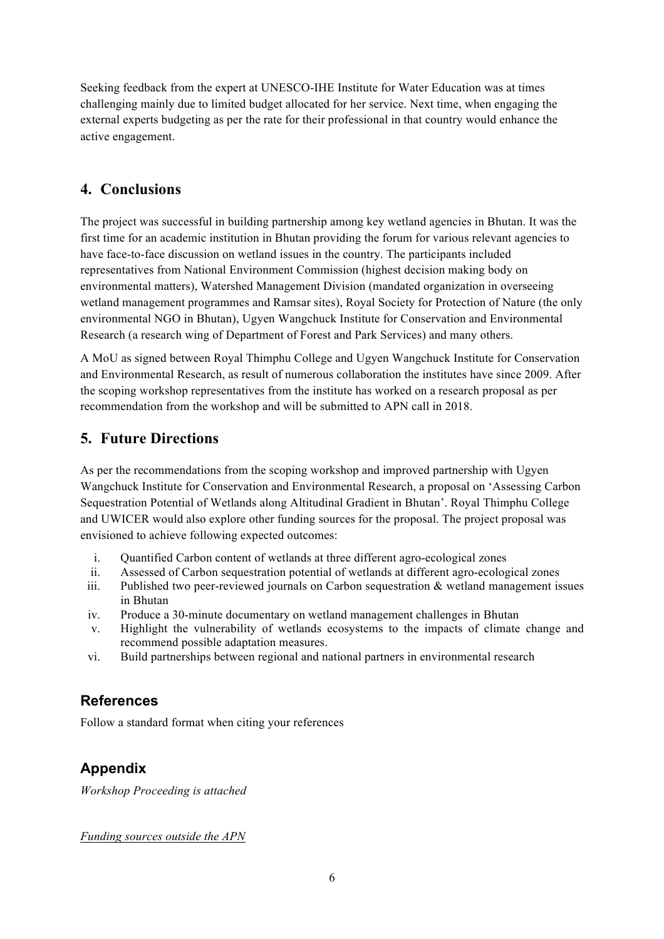Seeking feedback from the expert at UNESCO-IHE Institute for Water Education was at times challenging mainly due to limited budget allocated for her service. Next time, when engaging the external experts budgeting as per the rate for their professional in that country would enhance the active engagement.

## **4. Conclusions**

The project was successful in building partnership among key wetland agencies in Bhutan. It was the first time for an academic institution in Bhutan providing the forum for various relevant agencies to have face-to-face discussion on wetland issues in the country. The participants included representatives from National Environment Commission (highest decision making body on environmental matters), Watershed Management Division (mandated organization in overseeing wetland management programmes and Ramsar sites), Royal Society for Protection of Nature (the only environmental NGO in Bhutan), Ugyen Wangchuck Institute for Conservation and Environmental Research (a research wing of Department of Forest and Park Services) and many others.

A MoU as signed between Royal Thimphu College and Ugyen Wangchuck Institute for Conservation and Environmental Research, as result of numerous collaboration the institutes have since 2009. After the scoping workshop representatives from the institute has worked on a research proposal as per recommendation from the workshop and will be submitted to APN call in 2018.

## **5. Future Directions**

As per the recommendations from the scoping workshop and improved partnership with Ugyen Wangchuck Institute for Conservation and Environmental Research, a proposal on 'Assessing Carbon Sequestration Potential of Wetlands along Altitudinal Gradient in Bhutan'. Royal Thimphu College and UWICER would also explore other funding sources for the proposal. The project proposal was envisioned to achieve following expected outcomes:

- i. Quantified Carbon content of wetlands at three different agro-ecological zones
- ii. Assessed of Carbon sequestration potential of wetlands at different agro-ecological zones
- iii. Published two peer-reviewed journals on Carbon sequestration  $\&$  wetland management issues in Bhutan
- iv. Produce a 30-minute documentary on wetland management challenges in Bhutan
- v. Highlight the vulnerability of wetlands ecosystems to the impacts of climate change and recommend possible adaptation measures.
- vi. Build partnerships between regional and national partners in environmental research

## **References**

Follow a standard format when citing your references

## **Appendix**

*Workshop Proceeding is attached* 

*Funding sources outside the APN*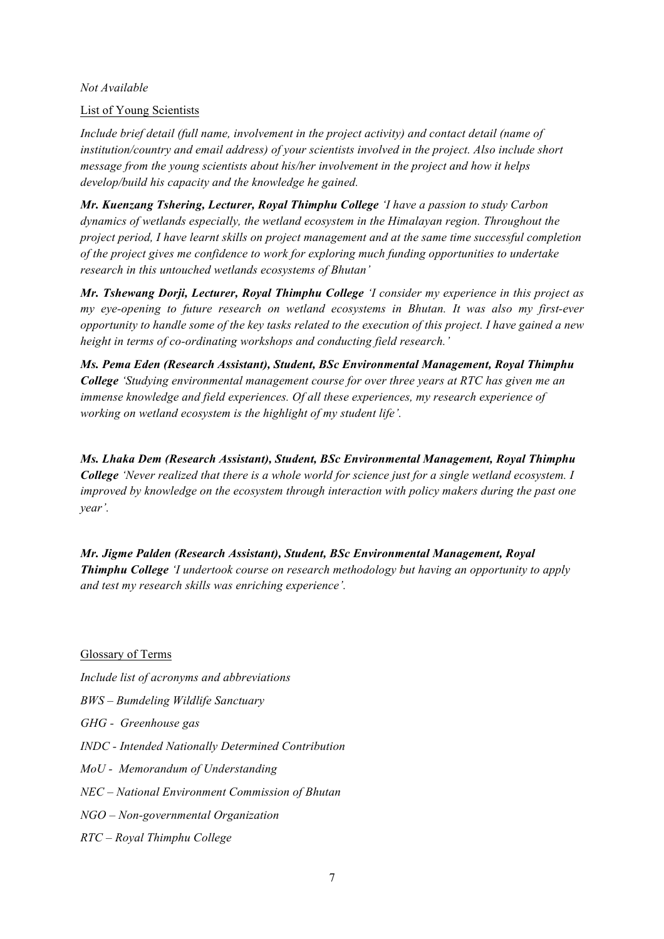#### *Not Available*

#### List of Young Scientists

*Include brief detail (full name, involvement in the project activity) and contact detail (name of institution/country and email address) of your scientists involved in the project. Also include short message from the young scientists about his/her involvement in the project and how it helps develop/build his capacity and the knowledge he gained.*

*Mr. Kuenzang Tshering, Lecturer, Royal Thimphu College 'I have a passion to study Carbon dynamics of wetlands especially, the wetland ecosystem in the Himalayan region. Throughout the project period, I have learnt skills on project management and at the same time successful completion of the project gives me confidence to work for exploring much funding opportunities to undertake research in this untouched wetlands ecosystems of Bhutan'*

*Mr. Tshewang Dorji, Lecturer, Royal Thimphu College 'I consider my experience in this project as my eye-opening to future research on wetland ecosystems in Bhutan. It was also my first-ever opportunity to handle some of the key tasks related to the execution of this project. I have gained a new height in terms of co-ordinating workshops and conducting field research.'*

*Ms. Pema Eden (Research Assistant), Student, BSc Environmental Management, Royal Thimphu College 'Studying environmental management course for over three years at RTC has given me an immense knowledge and field experiences. Of all these experiences, my research experience of working on wetland ecosystem is the highlight of my student life'.*

*Ms. Lhaka Dem (Research Assistant), Student, BSc Environmental Management, Royal Thimphu College 'Never realized that there is a whole world for science just for a single wetland ecosystem. I improved by knowledge on the ecosystem through interaction with policy makers during the past one year'.* 

*Mr. Jigme Palden (Research Assistant), Student, BSc Environmental Management, Royal Thimphu College 'I undertook course on research methodology but having an opportunity to apply and test my research skills was enriching experience'.* 

Glossary of Terms

*Include list of acronyms and abbreviations*

- *BWS – Bumdeling Wildlife Sanctuary*
- *GHG Greenhouse gas*
- *INDC - Intended Nationally Determined Contribution*
- *MoU Memorandum of Understanding*
- *NEC – National Environment Commission of Bhutan*
- *NGO – Non-governmental Organization*
- *RTC – Royal Thimphu College*